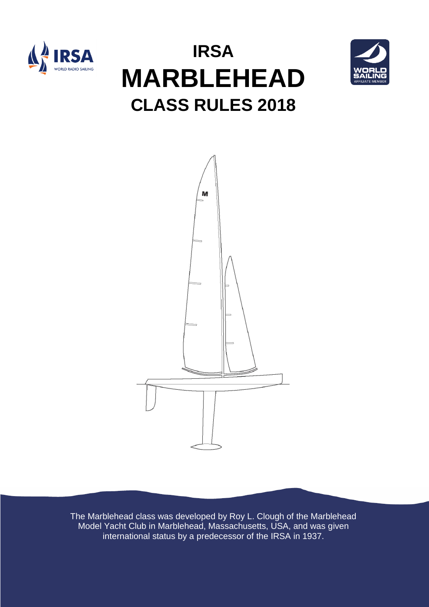

# **IRSA MARBLEHEAD CLASS RULES 2018**





The Marblehead class was developed by Roy L. Clough of the Marblehead Model Yacht Club in Marblehead, Massachusetts, USA, and was given international status by a predecessor of the IRSA in 1937.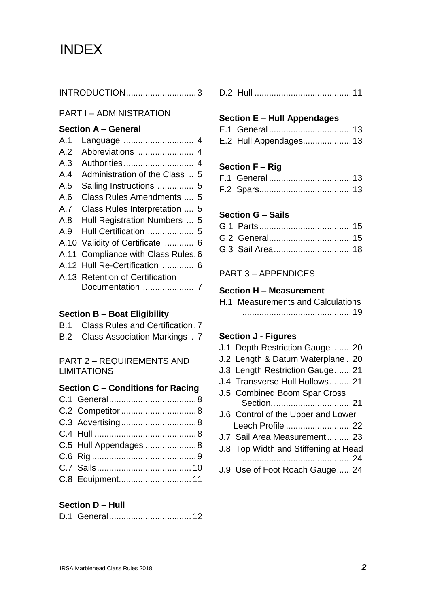INTRODUCTION.............................3

#### PART I – ADMINISTRATION

#### **Section A – General**

| A.1 |                                     |
|-----|-------------------------------------|
| A.2 |                                     |
| A.3 |                                     |
| A.4 | Administration of the Class  5      |
| A.5 | Sailing Instructions  5             |
| A.6 | Class Rules Amendments  5           |
| A.7 | Class Rules Interpretation  5       |
| A.8 | Hull Registration Numbers  5        |
| A.9 | Hull Certification  5               |
|     | A.10 Validity of Certificate  6     |
|     | A.11 Compliance with Class Rules. 6 |
|     | A.12 Hull Re-Certification  6       |
|     | A.13 Retention of Certification     |
|     |                                     |
|     |                                     |

#### **Section B – Boat Eligibility**

- B.1 Class Rules and Certification.7
- B.2 Class Association Markings . 7

PART 2 – REQUIREMENTS AND LIMITATIONS

#### **Section C – Conditions for Racing**  $C.1$   $Conord$

| C.5 Hull Appendages  8 |  |
|------------------------|--|
|                        |  |
|                        |  |
|                        |  |
|                        |  |

#### **Section D – Hull**

D.2 Hull ........................................ 11

### **Section E – Hull Appendages**

- E.1 General.................................. 13
- E.2 Hull Appendages.................... 13

## **Section F – Rig**

## **Section G – Sails**

PART 3 – APPENDICES

# **Section H – Measurement**

| <b>H.1 Measurements and Calculations</b> |
|------------------------------------------|
|                                          |

### **Section J - Figures**

- J.1 Depth Restriction Gauge ........ 20
- J.2 Length & Datum Waterplane .. 20
- J.3 Length Restriction Gauge....... 21
- J.4 Transverse Hull Hollows......... 21
- J.5 Combined Boom Spar Cross Section................................. 21 J.6 Control of the Upper and Lower Leech Profile ........................... 22
- J.7 Sail Area Measurement.......... 23
- J.8 Top Width and Stiffening at Head ............................................. 24
- J.9 Use of Foot Roach Gauge...... 24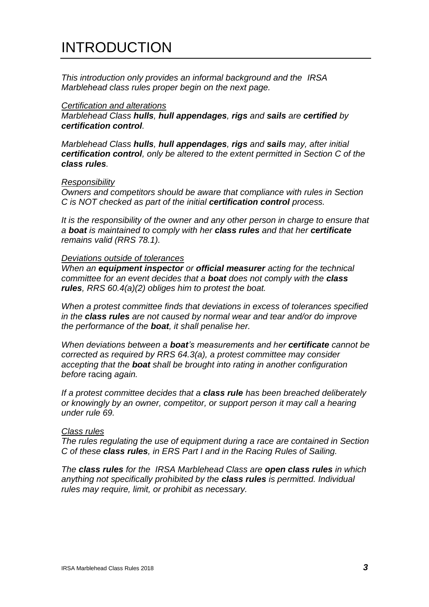# INTRODUCTION

*This introduction only provides an informal background and the IRSA Marblehead class rules proper begin on the next page.*

#### *Certification and alterations*

*Marblehead Class hulls, hull appendages, rigs and sails are certified by certification control.*

*Marblehead Class hulls, hull appendages, rigs and sails may, after initial certification control, only be altered to the extent permitted in Section C of the class rules.*

#### *Responsibility*

*Owners and competitors should be aware that compliance with rules in Section C is NOT checked as part of the initial certification control process.*

*It is the responsibility of the owner and any other person in charge to ensure that a boat is maintained to comply with her class rules and that her certificate remains valid (RRS 78.1).*

#### *Deviations outside of tolerances*

*When an equipment inspector or official measurer acting for the technical committee for an event decides that a boat does not comply with the class rules, RRS 60.4(a)(2) obliges him to protest the boat.*

*When a protest committee finds that deviations in excess of tolerances specified in the class rules are not caused by normal wear and tear and/or do improve the performance of the boat, it shall penalise her.*

*When deviations between a boat's measurements and her certificate cannot be corrected as required by RRS 64.3(a), a protest committee may consider accepting that the boat shall be brought into rating in another configuration before* racing *again.*

*If a protest committee decides that a class rule has been breached deliberately or knowingly by an owner, competitor, or support person it may call a hearing under rule 69.*

#### *Class rules*

*The rules regulating the use of equipment during a race are contained in Section C of these class rules, in ERS Part I and in the Racing Rules of Sailing.*

*The class rules for the IRSA Marblehead Class are open class rules in which anything not specifically prohibited by the class rules is permitted. Individual rules may require, limit, or prohibit as necessary.*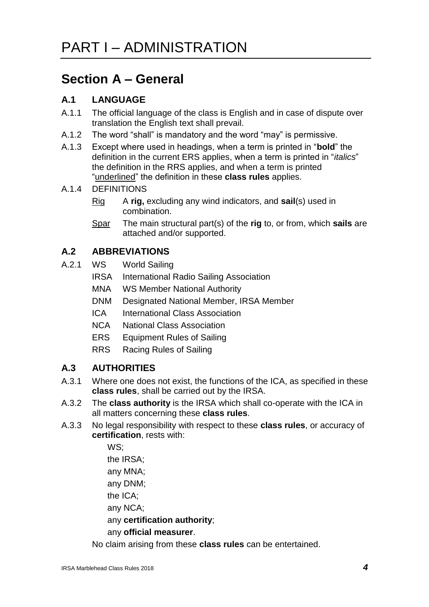# **Section A – General**

# **A.1 LANGUAGE**

- A.1.1 The official language of the class is English and in case of dispute over translation the English text shall prevail.
- A.1.2 The word "shall" is mandatory and the word "may" is permissive.
- A.1.3 Except where used in headings, when a term is printed in "**bold**" the definition in the current ERS applies, when a term is printed in "*italics*" the definition in the RRS applies, and when a term is printed "underlined" the definition in these **class rules** applies.
- A.1.4 DEFINITIONS
	- Rig A **rig,** excluding any wind indicators, and **sail**(s) used in combination.
	- Spar The main structural part(s) of the **rig** to, or from, which **sails** are attached and/or supported.

# **A.2 ABBREVIATIONS**

- A.2.1 WS World Sailing
	- IRSA International Radio Sailing Association
	- MNA WS Member National Authority
	- DNM Designated National Member, IRSA Member
	- ICA International Class Association
	- NCA National Class Association
	- ERS Equipment Rules of Sailing
	- RRS Racing Rules of Sailing

# **A.3 AUTHORITIES**

- A.3.1 Where one does not exist, the functions of the ICA, as specified in these **class rules**, shall be carried out by the IRSA.
- A.3.2 The **class authority** is the IRSA which shall co-operate with the ICA in all matters concerning these **class rules**.
- A.3.3 No legal responsibility with respect to these **class rules**, or accuracy of **certification**, rests with:

WS;

the IRSA;

any MNA;

any DNM;

the ICA;

any NCA;

any **certification authority**;

any **official measurer**.

No claim arising from these **class rules** can be entertained.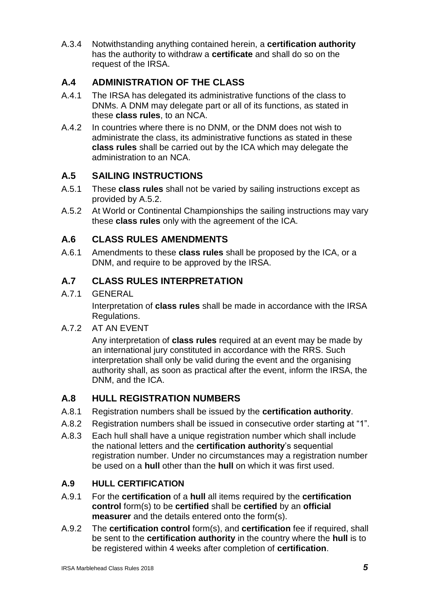A.3.4 Notwithstanding anything contained herein, a **certification authority** has the authority to withdraw a **certificate** and shall do so on the request of the IRSA.

# **A.4 ADMINISTRATION OF THE CLASS**

- A.4.1 The IRSA has delegated its administrative functions of the class to DNMs. A DNM may delegate part or all of its functions, as stated in these **class rules**, to an NCA.
- A.4.2 In countries where there is no DNM, or the DNM does not wish to administrate the class, its administrative functions as stated in these **class rules** shall be carried out by the ICA which may delegate the administration to an NCA.

# **A.5 SAILING INSTRUCTIONS**

- A.5.1 These **class rules** shall not be varied by sailing instructions except as provided by A.5.2.
- A.5.2 At World or Continental Championships the sailing instructions may vary these **class rules** only with the agreement of the ICA.

# **A.6 CLASS RULES AMENDMENTS**

A.6.1 Amendments to these **class rules** shall be proposed by the ICA, or a DNM, and require to be approved by the IRSA.

# **A.7 CLASS RULES INTERPRETATION**

A.7.1 GENERAL

Interpretation of **class rules** shall be made in accordance with the IRSA Regulations.

A.7.2 AT AN EVENT

Any interpretation of **class rules** required at an event may be made by an international jury constituted in accordance with the RRS. Such interpretation shall only be valid during the event and the organising authority shall, as soon as practical after the event, inform the IRSA, the DNM, and the ICA.

# **A.8 HULL REGISTRATION NUMBERS**

- A.8.1 Registration numbers shall be issued by the **certification authority**.
- A.8.2 Registration numbers shall be issued in consecutive order starting at "1".
- A.8.3 Each hull shall have a unique registration number which shall include the national letters and the **certification authority**'s sequential registration number. Under no circumstances may a registration number be used on a **hull** other than the **hull** on which it was first used.

# **A.9 HULL CERTIFICATION**

- A.9.1 For the **certification** of a **hull** all items required by the **certification control** form(s) to be **certified** shall be **certified** by an **official measurer** and the details entered onto the form(s).
- A.9.2 The **certification control** form(s), and **certification** fee if required, shall be sent to the **certification authority** in the country where the **hull** is to be registered within 4 weeks after completion of **certification**.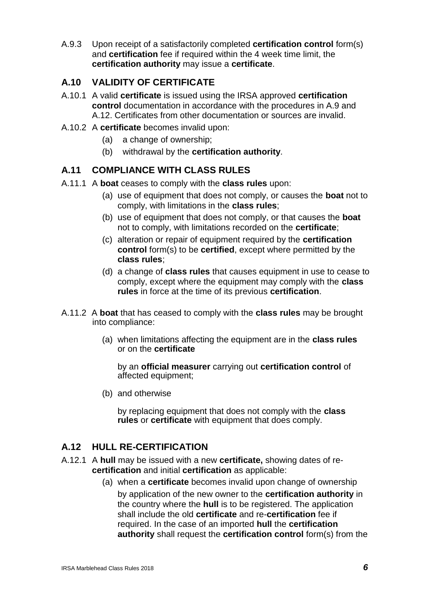A.9.3 Upon receipt of a satisfactorily completed **certification control** form(s) and **certification** fee if required within the 4 week time limit, the **certification authority** may issue a **certificate**.

# **A.10 VALIDITY OF CERTIFICATE**

- A.10.1 A valid **certificate** is issued using the IRSA approved **certification control** documentation in accordance with the procedures in A.9 and A.12. Certificates from other documentation or sources are invalid.
- A.10.2 A **certificate** becomes invalid upon:
	- (a) a change of ownership;
	- (b) withdrawal by the **certification authority**.

# **A.11 COMPLIANCE WITH CLASS RULES**

- A.11.1 A **boat** ceases to comply with the **class rules** upon:
	- (a) use of equipment that does not comply, or causes the **boat** not to comply, with limitations in the **class rules**;
	- (b) use of equipment that does not comply, or that causes the **boat**  not to comply, with limitations recorded on the **certificate**;
	- (c) alteration or repair of equipment required by the **certification control** form(s) to be **certified**, except where permitted by the **class rules**;
	- (d) a change of **class rules** that causes equipment in use to cease to comply, except where the equipment may comply with the **class rules** in force at the time of its previous **certification**.
- A.11.2 A **boat** that has ceased to comply with the **class rules** may be brought into compliance:
	- (a) when limitations affecting the equipment are in the **class rules** or on the **certificate**

by an **official measurer** carrying out **certification control** of affected equipment;

(b) and otherwise

by replacing equipment that does not comply with the **class rules** or **certificate** with equipment that does comply.

# **A.12 HULL RE-CERTIFICATION**

- A.12.1 A **hull** may be issued with a new **certificate,** showing dates of re**certification** and initial **certification** as applicable:
	- (a) when a **certificate** becomes invalid upon change of ownership by application of the new owner to the **certification authority** in the country where the **hull** is to be registered. The application shall include the old **certificate** and re-**certification** fee if required. In the case of an imported **hull** the **certification authority** shall request the **certification control** form(s) from the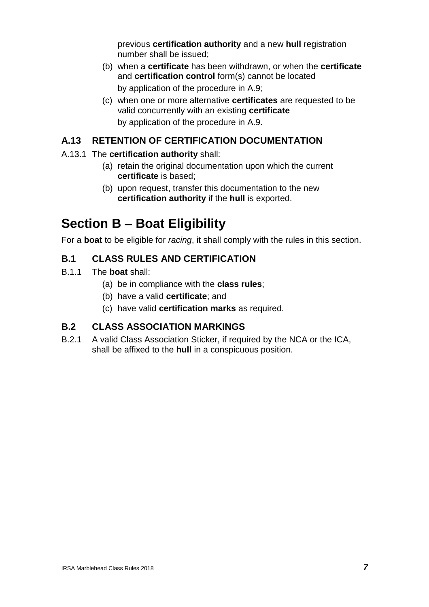previous **certification authority** and a new **hull** registration number shall be issued;

- (b) when a **certificate** has been withdrawn, or when the **certificate** and **certification control** form(s) cannot be located by application of the procedure in A.9;
- (c) when one or more alternative **certificates** are requested to be valid concurrently with an existing **certificate** by application of the procedure in A.9.

# **A.13 RETENTION OF CERTIFICATION DOCUMENTATION**

### A.13.1 The **certification authority** shall:

- (a) retain the original documentation upon which the current **certificate** is based;
- (b) upon request, transfer this documentation to the new **certification authority** if the **hull** is exported.

# **Section B – Boat Eligibility**

For a **boat** to be eligible for *racing*, it shall comply with the rules in this section.

## **B.1 CLASS RULES AND CERTIFICATION**

- B.1.1 The **boat** shall:
	- (a) be in compliance with the **class rules**;
	- (b) have a valid **certificate**; and
	- (c) have valid **certification marks** as required.

## **B.2 CLASS ASSOCIATION MARKINGS**

B.2.1 A valid Class Association Sticker, if required by the NCA or the ICA, shall be affixed to the **hull** in a conspicuous position.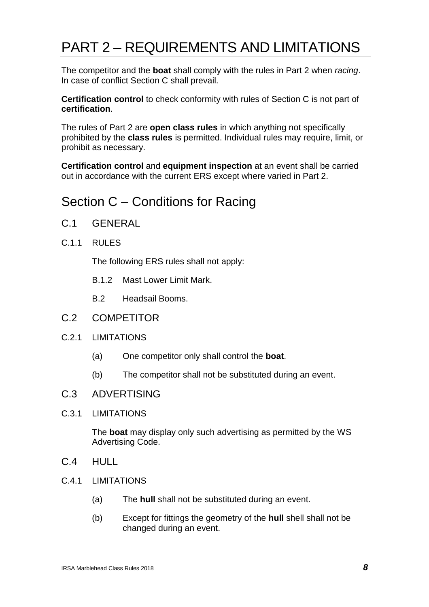# PART 2 – REQUIREMENTS AND LIMITATIONS

The competitor and the **boat** shall comply with the rules in Part 2 when *racing*. In case of conflict Section C shall prevail.

**Certification control** to check conformity with rules of Section C is not part of **certification**.

The rules of Part 2 are **open class rules** in which anything not specifically prohibited by the **class rules** is permitted. Individual rules may require, limit, or prohibit as necessary.

**Certification control** and **equipment inspection** at an event shall be carried out in accordance with the current ERS except where varied in Part 2.

# Section C – Conditions for Racing

- C.1 GENERAL
- C.1.1 RULES

The following ERS rules shall not apply:

- B.1.2 Mast Lower Limit Mark.
- B.2 Headsail Booms.
- C.2 COMPETITOR
- C.2.1 LIMITATIONS
	- (a) One competitor only shall control the **boat**.
	- (b) The competitor shall not be substituted during an event.

### C.3 ADVERTISING

#### C.3.1 LIMITATIONS

The **boat** may display only such advertising as permitted by the WS Advertising Code.

- C.4 HULL
- C.4.1 LIMITATIONS
	- (a) The **hull** shall not be substituted during an event.
	- (b) Except for fittings the geometry of the **hull** shell shall not be changed during an event.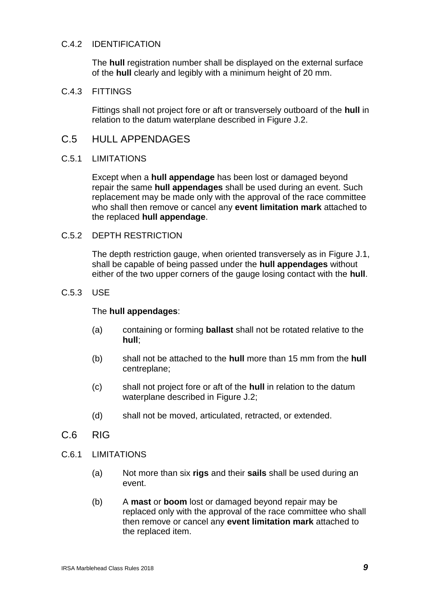#### C.4.2 IDENTIFICATION

The **hull** registration number shall be displayed on the external surface of the **hull** clearly and legibly with a minimum height of 20 mm.

#### C.4.3 FITTINGS

Fittings shall not project fore or aft or transversely outboard of the **hull** in relation to the datum waterplane described in Figure J.2.

## C.5 HULL APPENDAGES

#### C.5.1 LIMITATIONS

Except when a **hull appendage** has been lost or damaged beyond repair the same **hull appendages** shall be used during an event. Such replacement may be made only with the approval of the race committee who shall then remove or cancel any **event limitation mark** attached to the replaced **hull appendage**.

#### C.5.2 DEPTH RESTRICTION

The depth restriction gauge, when oriented transversely as in Figure J.1, shall be capable of being passed under the **hull appendages** without either of the two upper corners of the gauge losing contact with the **hull**.

#### C.5.3 USE

#### The **hull appendages**:

- (a) containing or forming **ballast** shall not be rotated relative to the **hull**;
- (b) shall not be attached to the **hull** more than 15 mm from the **hull** centreplane;
- (c) shall not project fore or aft of the **hull** in relation to the datum waterplane described in Figure J.2;
- (d) shall not be moved, articulated, retracted, or extended.
- C.6 RIG
- C.6.1 LIMITATIONS
	- (a) Not more than six **rigs** and their **sails** shall be used during an event.
	- (b) A **mast** or **boom** lost or damaged beyond repair may be replaced only with the approval of the race committee who shall then remove or cancel any **event limitation mark** attached to the replaced item.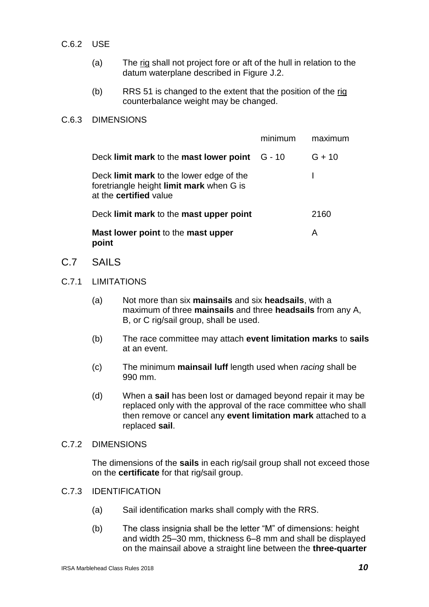- C.6.2 USE
	- (a) The rig shall not project fore or aft of the hull in relation to the datum waterplane described in Figure J.2.
	- (b) RRS 51 is changed to the extent that the position of the rig counterbalance weight may be changed.

#### C.6.3 DIMENSIONS

|                                                                                                                       | minimum | maximum  |
|-----------------------------------------------------------------------------------------------------------------------|---------|----------|
| Deck limit mark to the mast lower point $G - 10$                                                                      |         | $G + 10$ |
| Deck limit mark to the lower edge of the<br>foretriangle height limit mark when G is<br>at the <b>certified</b> value |         |          |
| Deck limit mark to the mast upper point                                                                               |         | 2160     |
| Mast lower point to the mast upper<br>point                                                                           |         | Α        |

- C.7 SAILS
- C.7.1 LIMITATIONS
	- (a) Not more than six **mainsails** and six **headsails**, with a maximum of three **mainsails** and three **headsails** from any A, B, or C rig/sail group, shall be used.
	- (b) The race committee may attach **event limitation marks** to **sails** at an event.
	- (c) The minimum **mainsail luff** length used when *racing* shall be 990 mm.
	- (d) When a **sail** has been lost or damaged beyond repair it may be replaced only with the approval of the race committee who shall then remove or cancel any **event limitation mark** attached to a replaced **sail**.

#### C.7.2 DIMENSIONS

The dimensions of the **sails** in each rig/sail group shall not exceed those on the **certificate** for that rig/sail group.

#### C.7.3 IDENTIFICATION

- (a) Sail identification marks shall comply with the RRS.
- (b) The class insignia shall be the letter "M" of dimensions: height and width 25–30 mm, thickness 6–8 mm and shall be displayed on the mainsail above a straight line between the **three-quarter**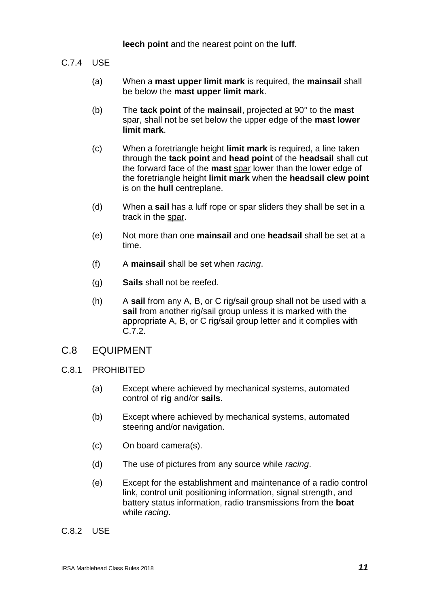**leech point** and the nearest point on the **luff**.

- C.7.4 USE
	- (a) When a **mast upper limit mark** is required, the **mainsail** shall be below the **mast upper limit mark**.
	- (b) The **tack point** of the **mainsail**, projected at 90° to the **mast**  spar, shall not be set below the upper edge of the **mast lower limit mark**.
	- (c) When a foretriangle height **limit mark** is required, a line taken through the **tack point** and **head point** of the **headsail** shall cut the forward face of the **mast** spar lower than the lower edge of the foretriangle height **limit mark** when the **headsail clew point** is on the **hull** centreplane.
	- (d) When a **sail** has a luff rope or spar sliders they shall be set in a track in the spar.
	- (e) Not more than one **mainsail** and one **headsail** shall be set at a time.
	- (f) A **mainsail** shall be set when *racing*.
	- (g) **Sails** shall not be reefed.
	- (h) A **sail** from any A, B, or C rig/sail group shall not be used with a **sail** from another rig/sail group unless it is marked with the appropriate A, B, or C rig/sail group letter and it complies with C.7.2.

#### C.8 EQUIPMENT

- C.8.1 PROHIBITED
	- (a) Except where achieved by mechanical systems, automated control of **rig** and/or **sails**.
	- (b) Except where achieved by mechanical systems, automated steering and/or navigation.
	- (c) On board camera(s).
	- (d) The use of pictures from any source while *racing*.
	- (e) Except for the establishment and maintenance of a radio control link, control unit positioning information, signal strength, and battery status information, radio transmissions from the **boat** while *racing*.

C.8.2 USE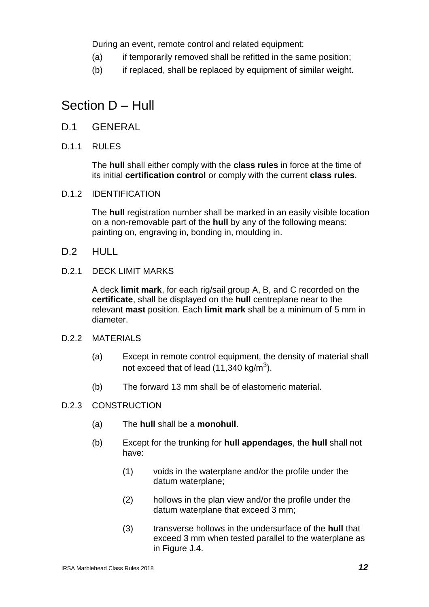During an event, remote control and related equipment:

- (a) if temporarily removed shall be refitted in the same position;
- (b) if replaced, shall be replaced by equipment of similar weight.

# Section D – Hull

- D.1 GENERAL
- D.1.1 RULES

The **hull** shall either comply with the **class rules** in force at the time of its initial **certification control** or comply with the current **class rules**.

D.1.2 IDENTIFICATION

The **hull** registration number shall be marked in an easily visible location on a non-removable part of the **hull** by any of the following means: painting on, engraving in, bonding in, moulding in.

- D.2 HULL
- D.2.1 DECK LIMIT MARKS

A deck **limit mark**, for each rig/sail group A, B, and C recorded on the **certificate**, shall be displayed on the **hull** centreplane near to the relevant **mast** position. Each **limit mark** shall be a minimum of 5 mm in diameter.

- D.2.2 MATERIALS
	- (a) Except in remote control equipment, the density of material shall not exceed that of lead (11,340 kg/m<sup>3</sup>).
	- (b) The forward 13 mm shall be of elastomeric material.

#### D.2.3 CONSTRUCTION

- (a) The **hull** shall be a **monohull**.
- (b) Except for the trunking for **hull appendages**, the **hull** shall not have:
	- (1) voids in the waterplane and/or the profile under the datum waterplane;
	- (2) hollows in the plan view and/or the profile under the datum waterplane that exceed 3 mm;
	- (3) transverse hollows in the undersurface of the **hull** that exceed 3 mm when tested parallel to the waterplane as in Figure J.4.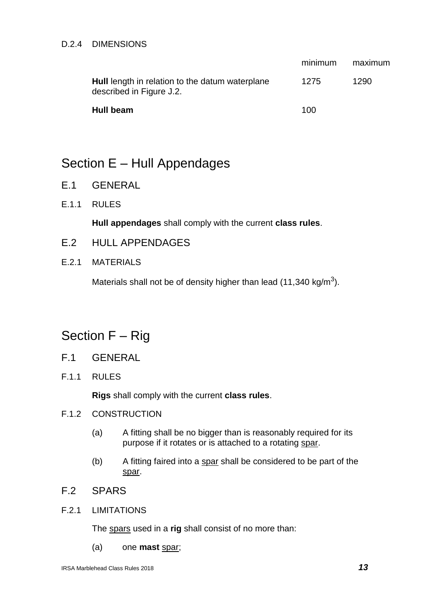#### D.2.4 DIMENSIONS

|                                                                                    | minimum | maximum |
|------------------------------------------------------------------------------------|---------|---------|
| <b>Hull</b> length in relation to the datum waterplane<br>described in Figure J.2. | 1275    | 1290    |
| Hull beam                                                                          | 100     |         |

# Section E – Hull Appendages

- E.1 GENERAL
- E.1.1 RULES

**Hull appendages** shall comply with the current **class rules**.

- E.2 HULL APPENDAGES
- E.2.1 MATERIALS

Materials shall not be of density higher than lead (11,340 kg/m<sup>3</sup>).

# Section F – Rig

- F.1 GENERAL
- F.1.1 RULES

**Rigs** shall comply with the current **class rules**.

- F.1.2 CONSTRUCTION
	- (a) A fitting shall be no bigger than is reasonably required for its purpose if it rotates or is attached to a rotating spar.
	- (b) A fitting faired into a spar shall be considered to be part of the spar.
- F.2 SPARS
- F.2.1 LIMITATIONS

The spars used in a **rig** shall consist of no more than:

(a) one **mast** spar;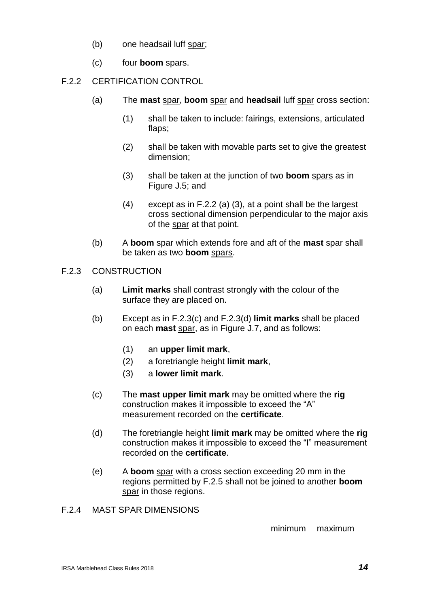- (b) one headsail luff spar;
- (c) four **boom** spars.

## F.2.2 CERTIFICATION CONTROL

- (a) The **mast** spar, **boom** spar and **headsail** luff spar cross section:
	- (1) shall be taken to include: fairings, extensions, articulated flaps;
	- (2) shall be taken with movable parts set to give the greatest dimension;
	- (3) shall be taken at the junction of two **boom** spars as in Figure J.5; and
	- (4) except as in F.2.2 (a) (3), at a point shall be the largest cross sectional dimension perpendicular to the major axis of the spar at that point.
- (b) A **boom** spar which extends fore and aft of the **mast** spar shall be taken as two **boom** spars.
- F.2.3 CONSTRUCTION
	- (a) **Limit marks** shall contrast strongly with the colour of the surface they are placed on.
	- (b) Except as in F.2.3(c) and F.2.3(d) **limit marks** shall be placed on each **mast** spar, as in Figure J.7, and as follows:
		- (1) an **upper limit mark**,
		- (2) a foretriangle height **limit mark**,
		- (3) a **lower limit mark**.
	- (c) The **mast upper limit mark** may be omitted where the **rig** construction makes it impossible to exceed the "A" measurement recorded on the **certificate**.
	- (d) The foretriangle height **limit mark** may be omitted where the **rig** construction makes it impossible to exceed the "I" measurement recorded on the **certificate**.
	- (e) A **boom** spar with a cross section exceeding 20 mm in the regions permitted by F.2.5 shall not be joined to another **boom**  spar in those regions.
- F.2.4 MAST SPAR DIMENSIONS

minimum maximum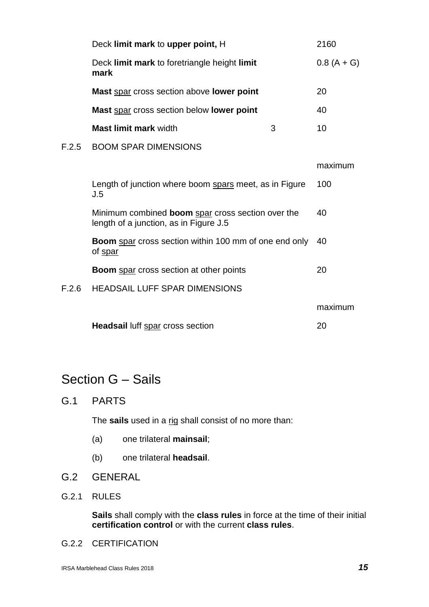|       | Deck limit mark to upper point, H                                                                  |  | 2160         |
|-------|----------------------------------------------------------------------------------------------------|--|--------------|
|       | Deck limit mark to foretriangle height limit<br>mark                                               |  | $0.8(A + G)$ |
|       | Mast spar cross section above lower point                                                          |  | 20           |
|       | Mast spar cross section below lower point                                                          |  | 40           |
|       | <b>Mast limit mark width</b><br>3                                                                  |  | 10           |
| F.2.5 | <b>BOOM SPAR DIMENSIONS</b>                                                                        |  |              |
|       |                                                                                                    |  | maximum      |
|       | Length of junction where boom spars meet, as in Figure<br>J.5                                      |  | 100          |
|       | Minimum combined <b>boom</b> spar cross section over the<br>length of a junction, as in Figure J.5 |  | 40           |
|       | <b>Boom</b> spar cross section within 100 mm of one end only<br>of spar                            |  | 40           |
|       | <b>Boom</b> spar cross section at other points                                                     |  | 20           |
| F.2.6 | <b>HEADSAIL LUFF SPAR DIMENSIONS</b>                                                               |  |              |
|       |                                                                                                    |  | maximum      |
|       | <b>Headsail luff spar cross section</b>                                                            |  | 20           |

# Section G – Sails

G.1 PARTS

The **sails** used in a rig shall consist of no more than:

- (a) one trilateral **mainsail**;
- (b) one trilateral **headsail**.
- G.2 GENERAL
- G.2.1 RULES

**Sails** shall comply with the **class rules** in force at the time of their initial **certification control** or with the current **class rules**.

G.2.2 CERTIFICATION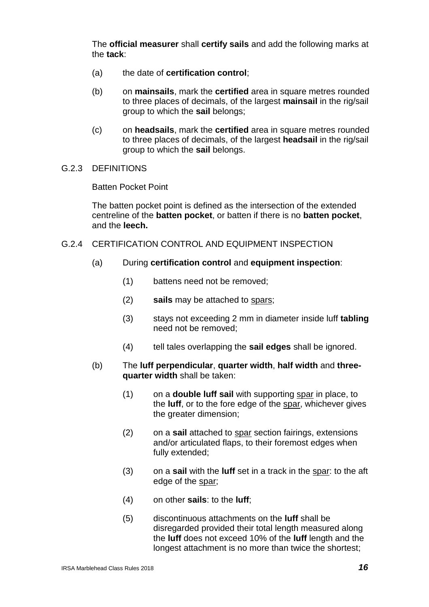The **official measurer** shall **certify sails** and add the following marks at the **tack**:

- (a) the date of **certification control**;
- (b) on **mainsails**, mark the **certified** area in square metres rounded to three places of decimals, of the largest **mainsail** in the rig/sail group to which the **sail** belongs;
- (c) on **headsails**, mark the **certified** area in square metres rounded to three places of decimals, of the largest **headsail** in the rig/sail group to which the **sail** belongs.
- G.2.3 DEFINITIONS

Batten Pocket Point

The batten pocket point is defined as the intersection of the extended centreline of the **batten pocket**, or batten if there is no **batten pocket**, and the **leech.**

- G.2.4 CERTIFICATION CONTROL AND EQUIPMENT INSPECTION
	- (a) During **certification control** and **equipment inspection**:
		- (1) battens need not be removed;
		- (2) **sails** may be attached to spars;
		- (3) stays not exceeding 2 mm in diameter inside luff **tabling** need not be removed;
		- (4) tell tales overlapping the **sail edges** shall be ignored.
	- (b) The **luff perpendicular**, **quarter width**, **half width** and **threequarter width** shall be taken:
		- (1) on a **double luff sail** with supporting spar in place, to the **luff**, or to the fore edge of the spar, whichever gives the greater dimension;
		- (2) on a **sail** attached to spar section fairings, extensions and/or articulated flaps, to their foremost edges when fully extended;
		- (3) on a **sail** with the **luff** set in a track in the spar: to the aft edge of the spar;
		- (4) on other **sails**: to the **luff**;
		- (5) discontinuous attachments on the **luff** shall be disregarded provided their total length measured along the **luff** does not exceed 10% of the **luff** length and the longest attachment is no more than twice the shortest;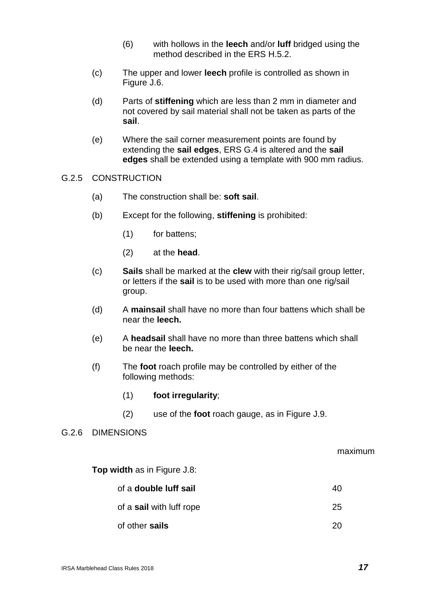- (6) with hollows in the **leech** and/or **luff** bridged using the method described in the ERS H.5.2.
- (c) The upper and lower **leech** profile is controlled as shown in Figure J.6.
- (d) Parts of **stiffening** which are less than 2 mm in diameter and not covered by sail material shall not be taken as parts of the **sail**.
- (e) Where the sail corner measurement points are found by extending the **sail edges**, ERS G.4 is altered and the **sail edges** shall be extended using a template with 900 mm radius.

#### G.2.5 CONSTRUCTION

- (a) The construction shall be: **soft sail**.
- (b) Except for the following, **stiffening** is prohibited:
	- (1) for battens;
	- (2) at the **head**.
- (c) **Sails** shall be marked at the **clew** with their rig/sail group letter, or letters if the **sail** is to be used with more than one rig/sail group.
- (d) A **mainsail** shall have no more than four battens which shall be near the **leech.**
- (e) A **headsail** shall have no more than three battens which shall be near the **leech.**
- (f) The **foot** roach profile may be controlled by either of the following methods:
	- (1) **foot irregularity**;
	- (2) use of the **foot** roach gauge, as in Figure J.9.

#### G.2.6 DIMENSIONS

#### maximum

**Top width** as in Figure J.8:

| of a <b>double luff sail</b> | 40 |
|------------------------------|----|
| of a sail with luff rope     | 25 |
| of other sails               | 20 |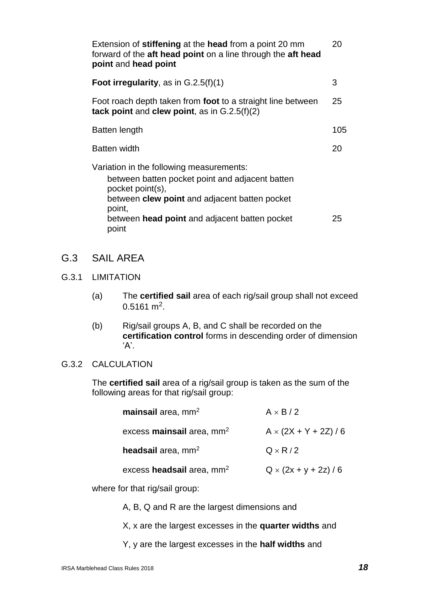| Extension of stiffening at the head from a point 20 mm<br>forward of the aft head point on a line through the aft head<br>point and head point                                                                                              | 20  |
|---------------------------------------------------------------------------------------------------------------------------------------------------------------------------------------------------------------------------------------------|-----|
| <b>Foot irregularity, as in G.2.5(f)(1)</b>                                                                                                                                                                                                 | 3   |
| Foot roach depth taken from foot to a straight line between<br>tack point and clew point, as in $G.2.5(f)(2)$                                                                                                                               | 25  |
| Batten length                                                                                                                                                                                                                               | 105 |
| <b>Batten width</b>                                                                                                                                                                                                                         | 20  |
| Variation in the following measurements:<br>between batten pocket point and adjacent batten<br>pocket point(s),<br>between <b>clew point</b> and adjacent batten pocket<br>point,<br>between head point and adjacent batten pocket<br>point | 25  |

# G.3 SAIL AREA

### G.3.1 LIMITATION

- (a) The **certified sail** area of each rig/sail group shall not exceed  $0.5161 \text{ m}^2$ .
- (b) Rig/sail groups A, B, and C shall be recorded on the **certification control** forms in descending order of dimension  $'A$ .

#### G.3.2 CALCULATION

The **certified sail** area of a rig/sail group is taken as the sum of the following areas for that rig/sail group:

| mainsail area, $mm2$        | $A \times B/2$               |
|-----------------------------|------------------------------|
| excess mainsail area, $mm2$ | $A \times (2X + Y + 2Z)/6$   |
| headsail area, $mm2$        | $Q \times R/2$               |
| excess headsail area, $mm2$ | $Q \times (2x + y + 2z) / 6$ |

where for that rig/sail group:

A, B, Q and R are the largest dimensions and

X, x are the largest excesses in the **quarter widths** and

Y, y are the largest excesses in the **half widths** and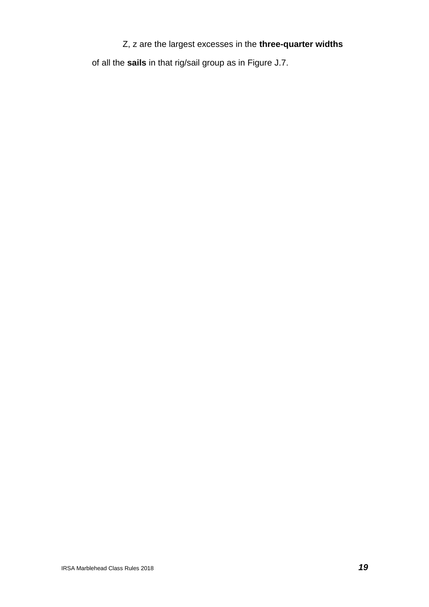# Z, z are the largest excesses in the **three-quarter widths**

of all the **sails** in that rig/sail group as in Figure J.7.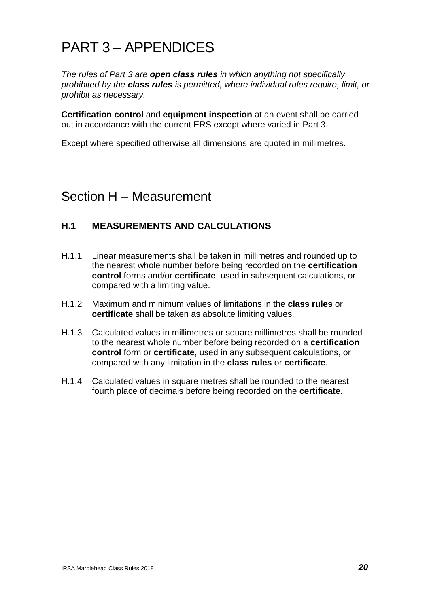# PART 3 – APPENDICES

*The rules of Part 3 are open class rules in which anything not specifically prohibited by the class rules is permitted, where individual rules require, limit, or prohibit as necessary.*

**Certification control** and **equipment inspection** at an event shall be carried out in accordance with the current ERS except where varied in Part 3.

Except where specified otherwise all dimensions are quoted in millimetres.

# Section H – Measurement

## **H.1 MEASUREMENTS AND CALCULATIONS**

- H.1.1 Linear measurements shall be taken in millimetres and rounded up to the nearest whole number before being recorded on the **certification control** forms and/or **certificate**, used in subsequent calculations, or compared with a limiting value.
- H.1.2 Maximum and minimum values of limitations in the **class rules** or **certificate** shall be taken as absolute limiting values.
- H.1.3 Calculated values in millimetres or square millimetres shall be rounded to the nearest whole number before being recorded on a **certification control** form or **certificate**, used in any subsequent calculations, or compared with any limitation in the **class rules** or **certificate**.
- H.1.4 Calculated values in square metres shall be rounded to the nearest fourth place of decimals before being recorded on the **certificate**.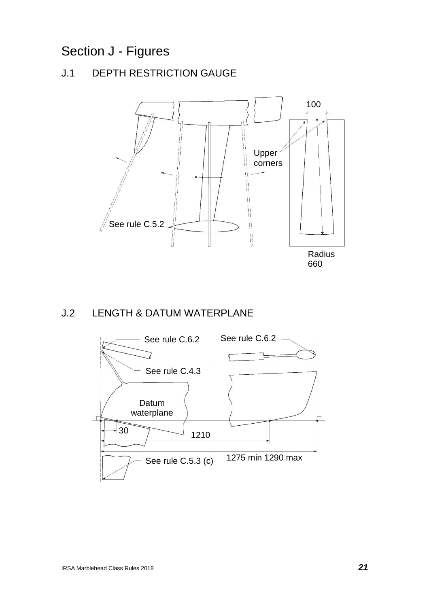# Section J - Figures

# J.1 DEPTH RESTRICTION GAUGE



# J.2 LENGTH & DATUM WATERPLANE

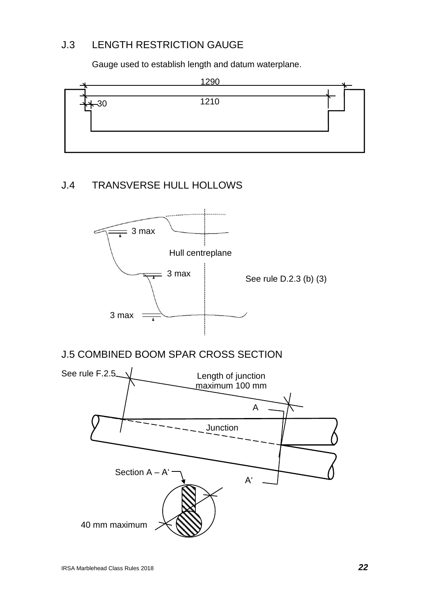# J.3 LENGTH RESTRICTION GAUGE

Gauge used to establish length and datum waterplane.



# J.4 TRANSVERSE HULL HOLLOWS



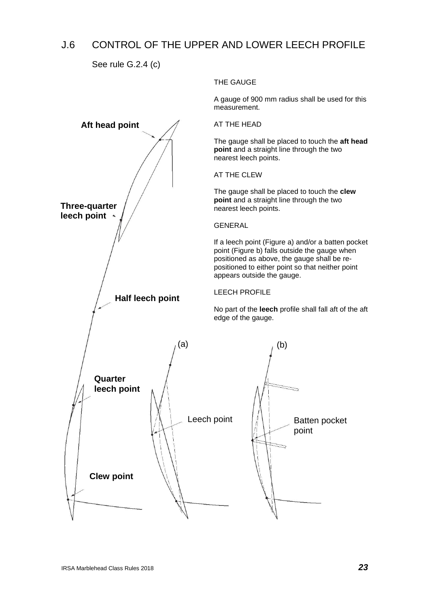# J.6 CONTROL OF THE UPPER AND LOWER LEECH PROFILE

See rule G.2.4 (c)

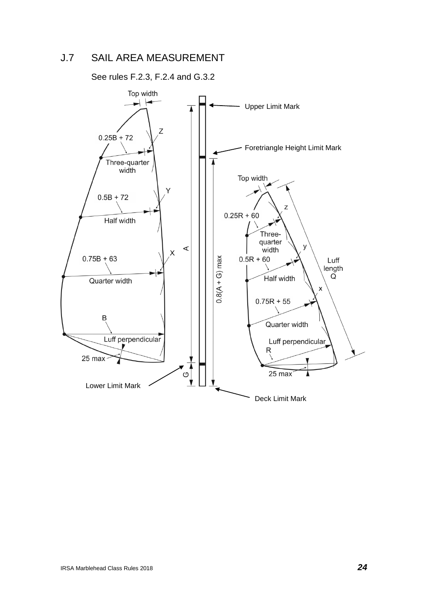# J.7 SAIL AREA MEASUREMENT

See rules F.2.3, F.2.4 and G.3.2